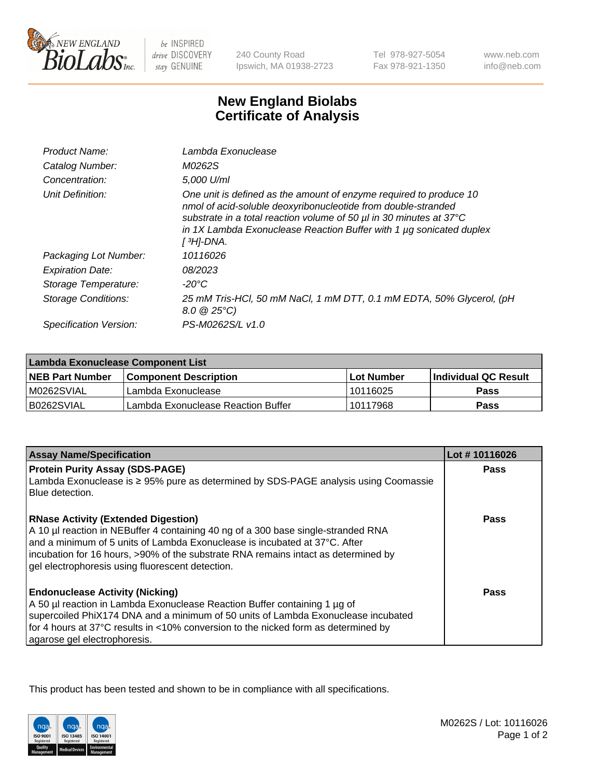

be INSPIRED drive DISCOVERY stay GENUINE

240 County Road Ipswich, MA 01938-2723

Tel 978-927-5054 Fax 978-921-1350

www.neb.com info@neb.com

## **New England Biolabs Certificate of Analysis**

| Product Name:           | Lambda Exonuclease                                                                                                                                                                                                                                                                                               |
|-------------------------|------------------------------------------------------------------------------------------------------------------------------------------------------------------------------------------------------------------------------------------------------------------------------------------------------------------|
| Catalog Number:         | M0262S                                                                                                                                                                                                                                                                                                           |
| Concentration:          | 5,000 U/ml                                                                                                                                                                                                                                                                                                       |
| Unit Definition:        | One unit is defined as the amount of enzyme required to produce 10<br>nmol of acid-soluble deoxyribonucleotide from double-stranded<br>substrate in a total reaction volume of 50 µl in 30 minutes at 37°C<br>in 1X Lambda Exonuclease Reaction Buffer with 1 $\mu$ g sonicated duplex<br>[ <sup>3</sup> H]-DNA. |
| Packaging Lot Number:   | 10116026                                                                                                                                                                                                                                                                                                         |
| <b>Expiration Date:</b> | 08/2023                                                                                                                                                                                                                                                                                                          |
| Storage Temperature:    | $-20^{\circ}$ C                                                                                                                                                                                                                                                                                                  |
| Storage Conditions:     | 25 mM Tris-HCl, 50 mM NaCl, 1 mM DTT, 0.1 mM EDTA, 50% Glycerol, (pH<br>$8.0 \ @ 25^{\circ}C$                                                                                                                                                                                                                    |
| Specification Version:  | PS-M0262S/L v1.0                                                                                                                                                                                                                                                                                                 |

| Lambda Exonuclease Component List |                                    |                   |                             |  |
|-----------------------------------|------------------------------------|-------------------|-----------------------------|--|
| <b>NEB Part Number</b>            | <b>Component Description</b>       | <b>Lot Number</b> | <b>Individual QC Result</b> |  |
| IM0262SVIAL                       | Lambda Exonuclease                 | 10116025          | <b>Pass</b>                 |  |
| IB0262SVIAL                       | Lambda Exonuclease Reaction Buffer | 10117968          | Pass                        |  |

| <b>Assay Name/Specification</b>                                                                                                                                                                                                                                                                                                                         | Lot #10116026 |
|---------------------------------------------------------------------------------------------------------------------------------------------------------------------------------------------------------------------------------------------------------------------------------------------------------------------------------------------------------|---------------|
| <b>Protein Purity Assay (SDS-PAGE)</b>                                                                                                                                                                                                                                                                                                                  | <b>Pass</b>   |
| Lambda Exonuclease is ≥ 95% pure as determined by SDS-PAGE analysis using Coomassie<br>Blue detection.                                                                                                                                                                                                                                                  |               |
| <b>RNase Activity (Extended Digestion)</b><br>A 10 µl reaction in NEBuffer 4 containing 40 ng of a 300 base single-stranded RNA<br>and a minimum of 5 units of Lambda Exonuclease is incubated at 37°C. After<br>incubation for 16 hours, >90% of the substrate RNA remains intact as determined by<br>gel electrophoresis using fluorescent detection. | <b>Pass</b>   |
| <b>Endonuclease Activity (Nicking)</b><br>A 50 µl reaction in Lambda Exonuclease Reaction Buffer containing 1 µg of<br>supercoiled PhiX174 DNA and a minimum of 50 units of Lambda Exonuclease incubated<br>for 4 hours at 37°C results in <10% conversion to the nicked form as determined by<br>agarose gel electrophoresis.                          | Pass          |

This product has been tested and shown to be in compliance with all specifications.